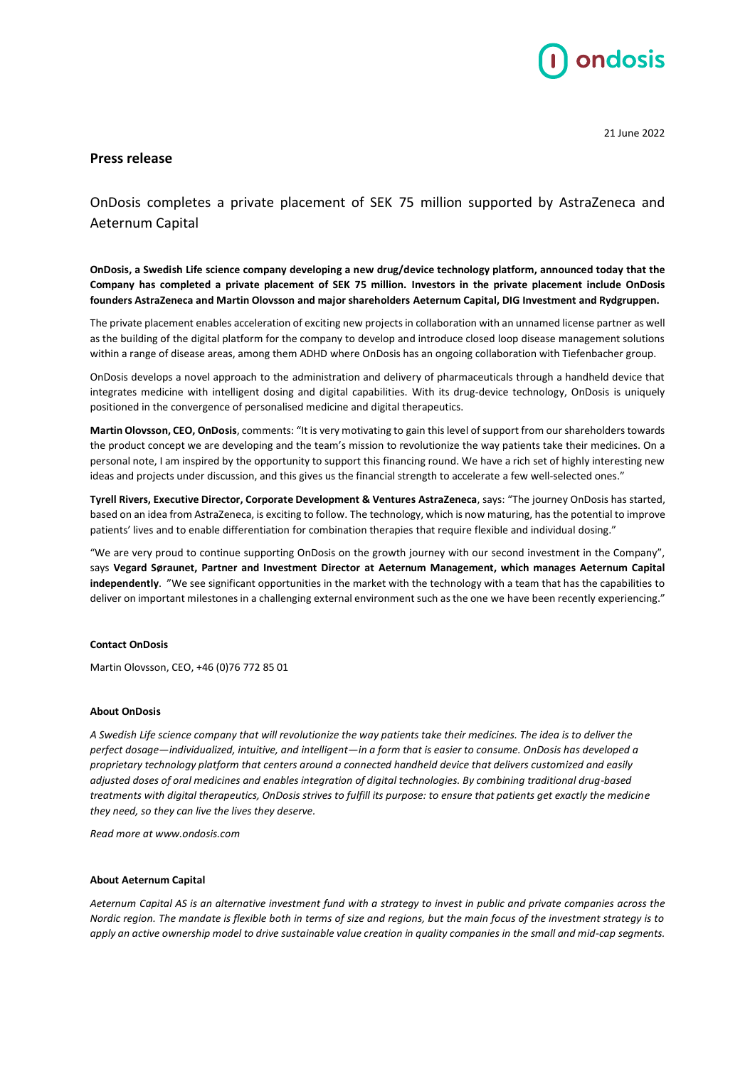

21 June 2022

## **Press release**

OnDosis completes a private placement of SEK 75 million supported by AstraZeneca and Aeternum Capital

**OnDosis, a Swedish Life science company developing a new drug/device technology platform, announced today that the Company has completed a private placement of SEK 75 million. Investors in the private placement include OnDosis founders AstraZeneca and Martin Olovsson and major shareholders Aeternum Capital, DIG Investment and Rydgruppen.**

The private placement enables acceleration of exciting new projects in collaboration with an unnamed license partner as well as the building of the digital platform for the company to develop and introduce closed loop disease management solutions within a range of disease areas, among them ADHD where OnDosis has an ongoing collaboration with Tiefenbacher group.

OnDosis develops a novel approach to the administration and delivery of pharmaceuticals through a handheld device that integrates medicine with intelligent dosing and digital capabilities. With its drug-device technology, OnDosis is uniquely positioned in the convergence of personalised medicine and digital therapeutics.

**Martin Olovsson, CEO, OnDosis**, comments: "It is very motivating to gain thislevel of support from our shareholders towards the product concept we are developing and the team's mission to revolutionize the way patients take their medicines. On a personal note, I am inspired by the opportunity to support this financing round. We have a rich set of highly interesting new ideas and projects under discussion, and this gives us the financial strength to accelerate a few well-selected ones."

**Tyrell Rivers, Executive Director, Corporate Development & Ventures AstraZeneca**, says: "The journey OnDosis has started, based on an idea from AstraZeneca, is exciting to follow. The technology, which is now maturing, hasthe potential to improve patients' lives and to enable differentiation for combination therapies that require flexible and individual dosing."

"We are very proud to continue supporting OnDosis on the growth journey with our second investment in the Company", says **Vegard Søraunet, Partner and Investment Director at Aeternum Management, which manages Aeternum Capital independently**. "We see significant opportunities in the market with the technology with a team that has the capabilities to deliver on important milestones in a challenging external environment such as the one we have been recently experiencing."

## **Contact OnDosis**

Martin Olovsson, CEO, +46 (0)76 772 85 01

## **About OnDosis**

*A Swedish Life science company that will revolutionize the way patients take their medicines. The idea is to deliver the perfect dosage—individualized, intuitive, and intelligent—in a form that is easier to consume. OnDosis has developed a proprietary technology platform that centers around a connected handheld device that delivers customized and easily adjusted doses of oral medicines and enables integration of digital technologies. By combining traditional drug-based treatments with digital therapeutics, OnDosis strives to fulfill its purpose: to ensure that patients get exactly the medicine they need, so they can live the lives they deserve.*

*Read more at www.ondosis.com*

## **About Aeternum Capital**

*Aeternum Capital AS is an alternative investment fund with a strategy to invest in public and private companies across the Nordic region. The mandate is flexible both in terms of size and regions, but the main focus of the investment strategy is to apply an active ownership model to drive sustainable value creation in quality companies in the small and mid-cap segments.*